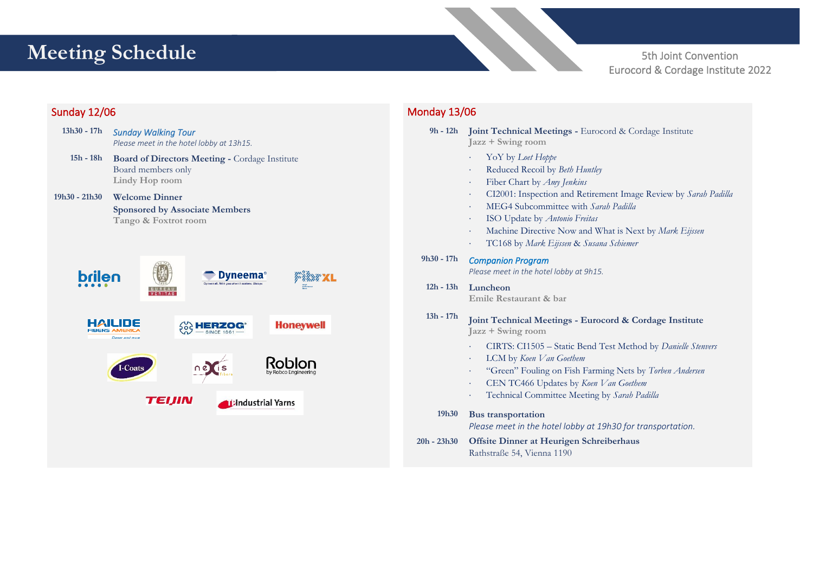# **Meeting Schedule**

5th Joint Convention Eurocord & Cordage Institute 2022

# Sunday 12/06

**13h30 - 17h** *Sunday Walking Tour Please meet in the hotel lobby at 13h15.* **15h - 18h Board of Directors Meeting -** Cordage Institute Board members only **Lindy Hop room Welcome Dinner 19h30 - 21h30 Sponsored by Associate Members Tango & Foxtrot roombrilen D**vneema<sup>®</sup> **BUREAU HAILIDE Honeywell Soc HERZOG® FIBERS AMERICA Claser and move** Roblon  $ne$  is -Coat: **TEIJIN Allandustrial Yarns** 

# Monday 13/06

**9h - 12h Joint Technical Meetings -** Eurocord & Cordage Institute **Jazz + Swing room** YoY by *Loet Hoppe* Reduced Recoil by *Beth Huntley* Fiber Chart by *Amy Jenkins* CI2001: Inspection and Retirement Image Review by *Sarah Padilla* MEG4 Subcommittee with *Sarah Padilla* ISO Update by *Antonio Freitas* Machine Directive Now and What is Next by *Mark Eijssen* TC168 by *Mark Eijssen* & *Susana Schiemer* **9h30 - 17h** *Companion Program Please meet in the hotel lobby at 9h15.*  **12h - 13h Luncheon 13h - 17h Emile Restaurant & bar Joint Technical Meetings - Eurocord & Cordage Institute Jazz + Swing room** CIRTS: CI1505 – Static Bend Test Method by *Danielle Stenvers* LCM by *Koen Van Goethem* "Green" Fouling on Fish Farming Nets by *Torben Andersen* CEN TC466 Updates by *Koen Van Goethem* Technical Committee Meeting by *Sarah Padilla* **19h30 20h - 23h30 Bus transportation**  *Please meet in the hotel lobby at 19h30 for transportation.* **Offsite Dinner at Heurigen Schreiberhaus** Rathstraße 54, Vienna 1190